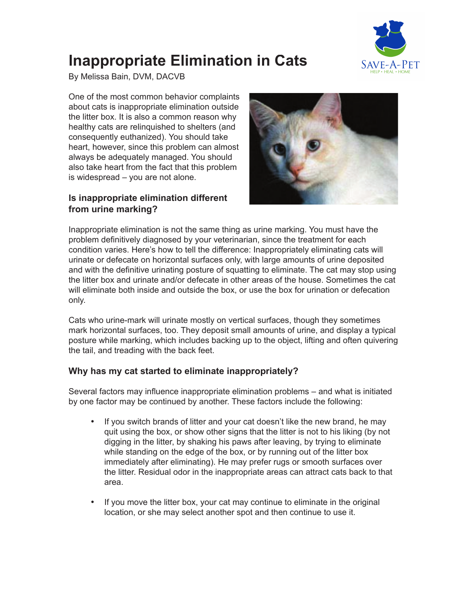

# **Inappropriate Elimination in Cats**

By Melissa Bain, DVM, DACVB

One of the most common behavior complaints about cats is inappropriate elimination outside the litter box. It is also a common reason why healthy cats are relinquished to shelters (and consequently euthanized). You should take heart, however, since this problem can almost always be adequately managed. You should also take heart from the fact that this problem is widespread – you are not alone.

# **Is inappropriate elimination different from urine marking?**



Inappropriate elimination is not the same thing as urine marking. You must have the problem definitively diagnosed by your veterinarian, since the treatment for each condition varies. Here's how to tell the difference: Inappropriately eliminating cats will urinate or defecate on horizontal surfaces only, with large amounts of urine deposited and with the definitive urinating posture of squatting to eliminate. The cat may stop using the litter box and urinate and/or defecate in other areas of the house. Sometimes the cat will eliminate both inside and outside the box, or use the box for urination or defecation only.

Cats who urine-mark will urinate mostly on vertical surfaces, though they sometimes mark horizontal surfaces, too. They deposit small amounts of urine, and display a typical posture while marking, which includes backing up to the object, lifting and often quivering the tail, and treading with the back feet.

# **Why has my cat started to eliminate inappropriately?**

Several factors may influence inappropriate elimination problems – and what is initiated by one factor may be continued by another. These factors include the following:

- If you switch brands of litter and your cat doesn't like the new brand, he may quit using the box, or show other signs that the litter is not to his liking (by not digging in the litter, by shaking his paws after leaving, by trying to eliminate while standing on the edge of the box, or by running out of the litter box immediately after eliminating). He may prefer rugs or smooth surfaces over the litter. Residual odor in the inappropriate areas can attract cats back to that area.
- If you move the litter box, your cat may continue to eliminate in the original location, or she may select another spot and then continue to use it.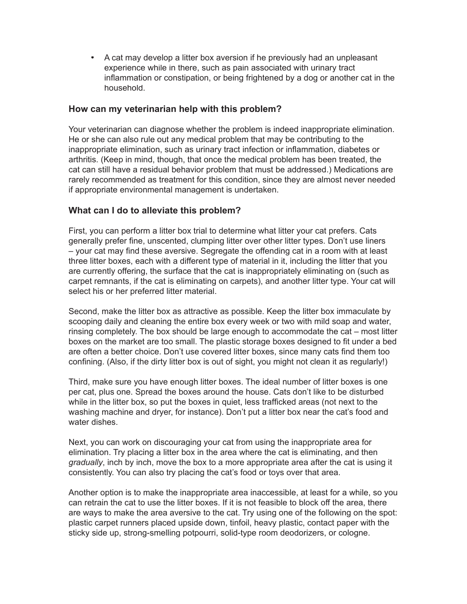• A cat may develop a litter box aversion if he previously had an unpleasant experience while in there, such as pain associated with urinary tract inflammation or constipation, or being frightened by a dog or another cat in the household.

#### **How can my veterinarian help with this problem?**

Your veterinarian can diagnose whether the problem is indeed inappropriate elimination. He or she can also rule out any medical problem that may be contributing to the inappropriate elimination, such as urinary tract infection or inflammation, diabetes or arthritis. (Keep in mind, though, that once the medical problem has been treated, the cat can still have a residual behavior problem that must be addressed.) Medications are rarely recommended as treatment for this condition, since they are almost never needed if appropriate environmental management is undertaken.

## **What can I do to alleviate this problem?**

First, you can perform a litter box trial to determine what litter your cat prefers. Cats generally prefer fine, unscented, clumping litter over other litter types. Don't use liners – your cat may find these aversive. Segregate the offending cat in a room with at least three litter boxes, each with a different type of material in it, including the litter that you are currently offering, the surface that the cat is inappropriately eliminating on (such as carpet remnants, if the cat is eliminating on carpets), and another litter type. Your cat will select his or her preferred litter material.

Second, make the litter box as attractive as possible. Keep the litter box immaculate by scooping daily and cleaning the entire box every week or two with mild soap and water, rinsing completely. The box should be large enough to accommodate the cat – most litter boxes on the market are too small. The plastic storage boxes designed to fit under a bed are often a better choice. Don't use covered litter boxes, since many cats find them too confining. (Also, if the dirty litter box is out of sight, you might not clean it as regularly!)

Third, make sure you have enough litter boxes. The ideal number of litter boxes is one per cat, plus one. Spread the boxes around the house. Cats don't like to be disturbed while in the litter box, so put the boxes in quiet, less trafficked areas (not next to the washing machine and dryer, for instance). Don't put a litter box near the cat's food and water dishes.

Next, you can work on discouraging your cat from using the inappropriate area for elimination. Try placing a litter box in the area where the cat is eliminating, and then *gradually*, inch by inch, move the box to a more appropriate area after the cat is using it consistently. You can also try placing the cat's food or toys over that area.

Another option is to make the inappropriate area inaccessible, at least for a while, so you can retrain the cat to use the litter boxes. If it is not feasible to block off the area, there are ways to make the area aversive to the cat. Try using one of the following on the spot: plastic carpet runners placed upside down, tinfoil, heavy plastic, contact paper with the sticky side up, strong-smelling potpourri, solid-type room deodorizers, or cologne.